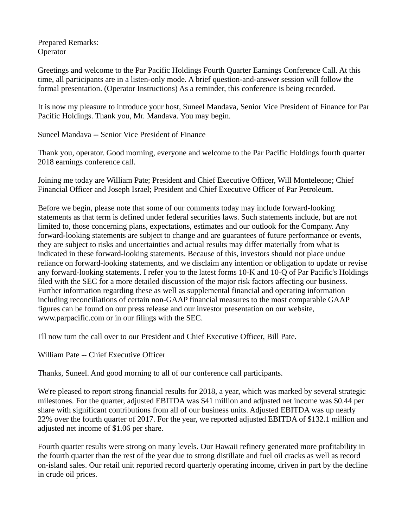Prepared Remarks: **Operator** 

Greetings and welcome to the Par Pacific Holdings Fourth Quarter Earnings Conference Call. At this time, all participants are in a listen-only mode. A brief question-and-answer session will follow the formal presentation. (Operator Instructions) As a reminder, this conference is being recorded.

It is now my pleasure to introduce your host, Suneel Mandava, Senior Vice President of Finance for Par Pacific Holdings. Thank you, Mr. Mandava. You may begin.

Suneel Mandava -- Senior Vice President of Finance

Thank you, operator. Good morning, everyone and welcome to the Par Pacific Holdings fourth quarter 2018 earnings conference call.

Joining me today are William Pate; President and Chief Executive Officer, Will Monteleone; Chief Financial Officer and Joseph Israel; President and Chief Executive Officer of Par Petroleum.

Before we begin, please note that some of our comments today may include forward-looking statements as that term is defined under federal securities laws. Such statements include, but are not limited to, those concerning plans, expectations, estimates and our outlook for the Company. Any forward-looking statements are subject to change and are guarantees of future performance or events, they are subject to risks and uncertainties and actual results may differ materially from what is indicated in these forward-looking statements. Because of this, investors should not place undue reliance on forward-looking statements, and we disclaim any intention or obligation to update or revise any forward-looking statements. I refer you to the latest forms 10-K and 10-Q of Par Pacific's Holdings filed with the SEC for a more detailed discussion of the major risk factors affecting our business. Further information regarding these as well as supplemental financial and operating information including reconciliations of certain non-GAAP financial measures to the most comparable GAAP figures can be found on our press release and our investor presentation on our website, www.parpacific.com or in our filings with the SEC.

I'll now turn the call over to our President and Chief Executive Officer, Bill Pate.

William Pate -- Chief Executive Officer

Thanks, Suneel. And good morning to all of our conference call participants.

We're pleased to report strong financial results for 2018, a year, which was marked by several strategic milestones. For the quarter, adjusted EBITDA was \$41 million and adjusted net income was \$0.44 per share with significant contributions from all of our business units. Adjusted EBITDA was up nearly 22% over the fourth quarter of 2017. For the year, we reported adjusted EBITDA of \$132.1 million and adjusted net income of \$1.06 per share.

Fourth quarter results were strong on many levels. Our Hawaii refinery generated more profitability in the fourth quarter than the rest of the year due to strong distillate and fuel oil cracks as well as record on-island sales. Our retail unit reported record quarterly operating income, driven in part by the decline in crude oil prices.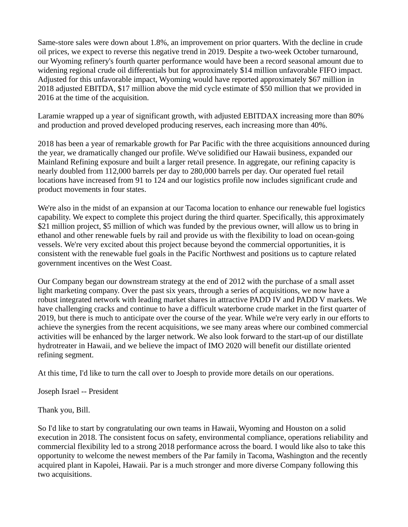Same-store sales were down about 1.8%, an improvement on prior quarters. With the decline in crude oil prices, we expect to reverse this negative trend in 2019. Despite a two-week October turnaround, our Wyoming refinery's fourth quarter performance would have been a record seasonal amount due to widening regional crude oil differentials but for approximately \$14 million unfavorable FIFO impact. Adjusted for this unfavorable impact, Wyoming would have reported approximately \$67 million in 2018 adjusted EBITDA, \$17 million above the mid cycle estimate of \$50 million that we provided in 2016 at the time of the acquisition.

Laramie wrapped up a year of significant growth, with adjusted EBITDAX increasing more than 80% and production and proved developed producing reserves, each increasing more than 40%.

2018 has been a year of remarkable growth for Par Pacific with the three acquisitions announced during the year, we dramatically changed our profile. We've solidified our Hawaii business, expanded our Mainland Refining exposure and built a larger retail presence. In aggregate, our refining capacity is nearly doubled from 112,000 barrels per day to 280,000 barrels per day. Our operated fuel retail locations have increased from 91 to 124 and our logistics profile now includes significant crude and product movements in four states.

We're also in the midst of an expansion at our Tacoma location to enhance our renewable fuel logistics capability. We expect to complete this project during the third quarter. Specifically, this approximately \$21 million project, \$5 million of which was funded by the previous owner, will allow us to bring in ethanol and other renewable fuels by rail and provide us with the flexibility to load on ocean-going vessels. We're very excited about this project because beyond the commercial opportunities, it is consistent with the renewable fuel goals in the Pacific Northwest and positions us to capture related government incentives on the West Coast.

Our Company began our downstream strategy at the end of 2012 with the purchase of a small asset light marketing company. Over the past six years, through a series of acquisitions, we now have a robust integrated network with leading market shares in attractive PADD IV and PADD V markets. We have challenging cracks and continue to have a difficult waterborne crude market in the first quarter of 2019, but there is much to anticipate over the course of the year. While we're very early in our efforts to achieve the synergies from the recent acquisitions, we see many areas where our combined commercial activities will be enhanced by the larger network. We also look forward to the start-up of our distillate hydrotreater in Hawaii, and we believe the impact of IMO 2020 will benefit our distillate oriented refining segment.

At this time, I'd like to turn the call over to Joesph to provide more details on our operations.

Joseph Israel -- President

Thank you, Bill.

So I'd like to start by congratulating our own teams in Hawaii, Wyoming and Houston on a solid execution in 2018. The consistent focus on safety, environmental compliance, operations reliability and commercial flexibility led to a strong 2018 performance across the board. I would like also to take this opportunity to welcome the newest members of the Par family in Tacoma, Washington and the recently acquired plant in Kapolei, Hawaii. Par is a much stronger and more diverse Company following this two acquisitions.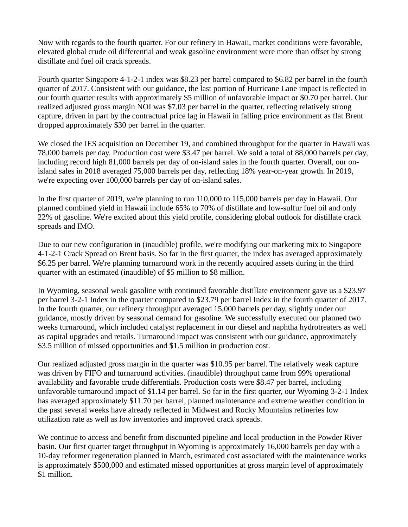Now with regards to the fourth quarter. For our refinery in Hawaii, market conditions were favorable, elevated global crude oil differential and weak gasoline environment were more than offset by strong distillate and fuel oil crack spreads.

Fourth quarter Singapore 4-1-2-1 index was \$8.23 per barrel compared to \$6.82 per barrel in the fourth quarter of 2017. Consistent with our guidance, the last portion of Hurricane Lane impact is reflected in our fourth quarter results with approximately \$5 million of unfavorable impact or \$0.70 per barrel. Our realized adjusted gross margin NOI was \$7.03 per barrel in the quarter, reflecting relatively strong capture, driven in part by the contractual price lag in Hawaii in falling price environment as flat Brent dropped approximately \$30 per barrel in the quarter.

We closed the IES acquisition on December 19, and combined throughput for the quarter in Hawaii was 78,000 barrels per day. Production cost were \$3.47 per barrel. We sold a total of 88,000 barrels per day, including record high 81,000 barrels per day of on-island sales in the fourth quarter. Overall, our onisland sales in 2018 averaged 75,000 barrels per day, reflecting 18% year-on-year growth. In 2019, we're expecting over 100,000 barrels per day of on-island sales.

In the first quarter of 2019, we're planning to run 110,000 to 115,000 barrels per day in Hawaii. Our planned combined yield in Hawaii include 65% to 70% of distillate and low-sulfur fuel oil and only 22% of gasoline. We're excited about this yield profile, considering global outlook for distillate crack spreads and IMO.

Due to our new configuration in (inaudible) profile, we're modifying our marketing mix to Singapore 4-1-2-1 Crack Spread on Brent basis. So far in the first quarter, the index has averaged approximately \$6.25 per barrel. We're planning turnaround work in the recently acquired assets during in the third quarter with an estimated (inaudible) of \$5 million to \$8 million.

In Wyoming, seasonal weak gasoline with continued favorable distillate environment gave us a \$23.97 per barrel 3-2-1 Index in the quarter compared to \$23.79 per barrel Index in the fourth quarter of 2017. In the fourth quarter, our refinery throughput averaged 15,000 barrels per day, slightly under our guidance, mostly driven by seasonal demand for gasoline. We successfully executed our planned two weeks turnaround, which included catalyst replacement in our diesel and naphtha hydrotreaters as well as capital upgrades and retails. Turnaround impact was consistent with our guidance, approximately \$3.5 million of missed opportunities and \$1.5 million in production cost.

Our realized adjusted gross margin in the quarter was \$10.95 per barrel. The relatively weak capture was driven by FIFO and turnaround activities. (inaudible) throughput came from 99% operational availability and favorable crude differentials. Production costs were \$8.47 per barrel, including unfavorable turnaround impact of \$1.14 per barrel. So far in the first quarter, our Wyoming 3-2-1 Index has averaged approximately \$11.70 per barrel, planned maintenance and extreme weather condition in the past several weeks have already reflected in Midwest and Rocky Mountains refineries low utilization rate as well as low inventories and improved crack spreads.

We continue to access and benefit from discounted pipeline and local production in the Powder River basin. Our first quarter target throughput in Wyoming is approximately 16,000 barrels per day with a 10-day reformer regeneration planned in March, estimated cost associated with the maintenance works is approximately \$500,000 and estimated missed opportunities at gross margin level of approximately \$1 million.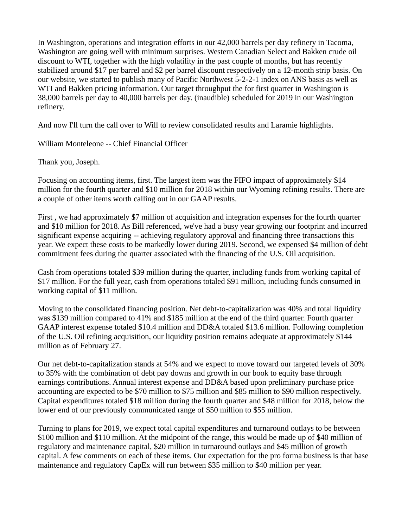In Washington, operations and integration efforts in our 42,000 barrels per day refinery in Tacoma, Washington are going well with minimum surprises. Western Canadian Select and Bakken crude oil discount to WTI, together with the high volatility in the past couple of months, but has recently stabilized around \$17 per barrel and \$2 per barrel discount respectively on a 12-month strip basis. On our website, we started to publish many of Pacific Northwest 5-2-2-1 index on ANS basis as well as WTI and Bakken pricing information. Our target throughput the for first quarter in Washington is 38,000 barrels per day to 40,000 barrels per day. (inaudible) scheduled for 2019 in our Washington refinery.

And now I'll turn the call over to Will to review consolidated results and Laramie highlights.

William Monteleone -- Chief Financial Officer

Thank you, Joseph.

Focusing on accounting items, first. The largest item was the FIFO impact of approximately \$14 million for the fourth quarter and \$10 million for 2018 within our Wyoming refining results. There are a couple of other items worth calling out in our GAAP results.

First , we had approximately \$7 million of acquisition and integration expenses for the fourth quarter and \$10 million for 2018. As Bill referenced, we've had a busy year growing our footprint and incurred significant expense acquiring -- achieving regulatory approval and financing three transactions this year. We expect these costs to be markedly lower during 2019. Second, we expensed \$4 million of debt commitment fees during the quarter associated with the financing of the U.S. Oil acquisition.

Cash from operations totaled \$39 million during the quarter, including funds from working capital of \$17 million. For the full year, cash from operations totaled \$91 million, including funds consumed in working capital of \$11 million.

Moving to the consolidated financing position. Net debt-to-capitalization was 40% and total liquidity was \$139 million compared to 41% and \$185 million at the end of the third quarter. Fourth quarter GAAP interest expense totaled \$10.4 million and DD&A totaled \$13.6 million. Following completion of the U.S. Oil refining acquisition, our liquidity position remains adequate at approximately \$144 million as of February 27.

Our net debt-to-capitalization stands at 54% and we expect to move toward our targeted levels of 30% to 35% with the combination of debt pay downs and growth in our book to equity base through earnings contributions. Annual interest expense and DD&A based upon preliminary purchase price accounting are expected to be \$70 million to \$75 million and \$85 million to \$90 million respectively. Capital expenditures totaled \$18 million during the fourth quarter and \$48 million for 2018, below the lower end of our previously communicated range of \$50 million to \$55 million.

Turning to plans for 2019, we expect total capital expenditures and turnaround outlays to be between \$100 million and \$110 million. At the midpoint of the range, this would be made up of \$40 million of regulatory and maintenance capital, \$20 million in turnaround outlays and \$45 million of growth capital. A few comments on each of these items. Our expectation for the pro forma business is that base maintenance and regulatory CapEx will run between \$35 million to \$40 million per year.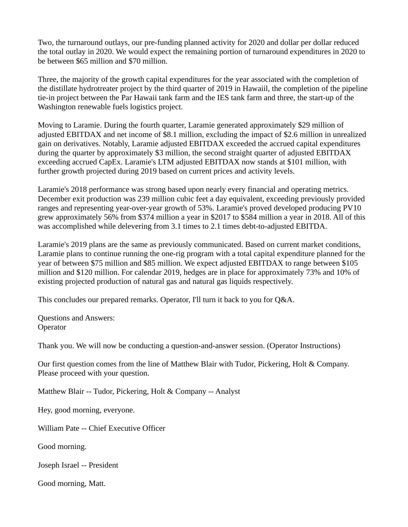Two, the turnaround outlays, our pre-funding planned activity for 2020 and dollar per dollar reduced the total outlay in 2020. We would expect the remaining portion of turnaround expenditures in 2020 to be between \$65 million and \$70 million.

Three, the majority of the growth capital expenditures for the year associated with the completion of the distillate hydrotreater project by the third quarter of 2019 in Hawaiil, the completion of the pipeline tie-in project between the Par Hawaii tank farm and the IES tank farm and three, the start-up of the Washington renewable fuels logistics project.

Moving to Laramie. During the fourth quarter, Laramie generated approximately \$29 million of adjusted EBITDAX and net income of \$8.1 million, excluding the impact of \$2.6 million in unrealized gain on derivatives. Notably, Laramie adjusted EBITDAX exceeded the accrued capital expenditures during the quarter by approximately \$3 million, the second straight quarter of adjusted EBITDAX exceeding accrued CapEx. Laramie's LTM adjusted EBITDAX now stands at \$101 million, with further growth projected during 2019 based on current prices and activity levels.

Laramie's 2018 performance was strong based upon nearly every financial and operating metrics. December exit production was 239 million cubic feet a day equivalent, exceeding previously provided ranges and representing year-over-year growth of 53%. Laramie's proved developed producing PV10 grew approximately 56% from \$374 million a year in \$2017 to \$584 million a year in 2018. All of this was accomplished while delevering from 3.1 times to 2.1 times debt-to-adjusted EBITDA.

Laramie's 2019 plans are the same as previously communicated. Based on current market conditions, Laramie plans to continue running the one-rig program with a total capital expenditure planned for the year of between \$75 million and \$85 million. We expect adjusted EBITDAX to range between \$105 million and \$120 million. For calendar 2019, hedges are in place for approximately 73% and 10% of existing projected production of natural gas and natural gas liquids respectively.

This concludes our prepared remarks. Operator, I'll turn it back to you for Q&A.

Questions and Answers: **Operator** 

Thank you. We will now be conducting a question-and-answer session. (Operator Instructions)

Our first question comes from the line of Matthew Blair with Tudor, Pickering, Holt & Company. Please proceed with your question.

Matthew Blair -- Tudor, Pickering, Holt & Company -- Analyst

Hey, good morning, everyone.

William Pate -- Chief Executive Officer

Good morning.

Joseph Israel -- President

Good morning, Matt.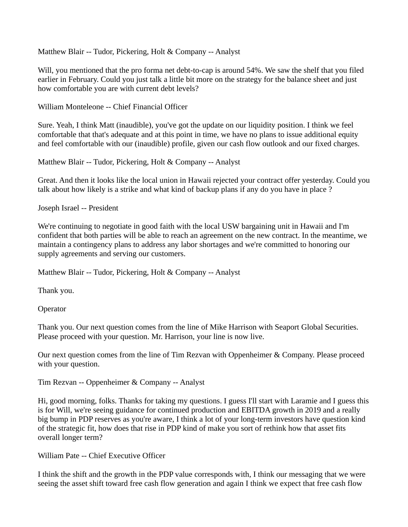Matthew Blair -- Tudor, Pickering, Holt & Company -- Analyst

Will, you mentioned that the pro forma net debt-to-cap is around 54%. We saw the shelf that you filed earlier in February. Could you just talk a little bit more on the strategy for the balance sheet and just how comfortable you are with current debt levels?

William Monteleone -- Chief Financial Officer

Sure. Yeah, I think Matt (inaudible), you've got the update on our liquidity position. I think we feel comfortable that that's adequate and at this point in time, we have no plans to issue additional equity and feel comfortable with our (inaudible) profile, given our cash flow outlook and our fixed charges.

Matthew Blair -- Tudor, Pickering, Holt & Company -- Analyst

Great. And then it looks like the local union in Hawaii rejected your contract offer yesterday. Could you talk about how likely is a strike and what kind of backup plans if any do you have in place ?

Joseph Israel -- President

We're continuing to negotiate in good faith with the local USW bargaining unit in Hawaii and I'm confident that both parties will be able to reach an agreement on the new contract. In the meantime, we maintain a contingency plans to address any labor shortages and we're committed to honoring our supply agreements and serving our customers.

Matthew Blair -- Tudor, Pickering, Holt & Company -- Analyst

Thank you.

**Operator** 

Thank you. Our next question comes from the line of Mike Harrison with Seaport Global Securities. Please proceed with your question. Mr. Harrison, your line is now live.

Our next question comes from the line of Tim Rezvan with Oppenheimer & Company. Please proceed with your question.

Tim Rezvan -- Oppenheimer & Company -- Analyst

Hi, good morning, folks. Thanks for taking my questions. I guess I'll start with Laramie and I guess this is for Will, we're seeing guidance for continued production and EBITDA growth in 2019 and a really big bump in PDP reserves as you're aware, I think a lot of your long-term investors have question kind of the strategic fit, how does that rise in PDP kind of make you sort of rethink how that asset fits overall longer term?

William Pate -- Chief Executive Officer

I think the shift and the growth in the PDP value corresponds with, I think our messaging that we were seeing the asset shift toward free cash flow generation and again I think we expect that free cash flow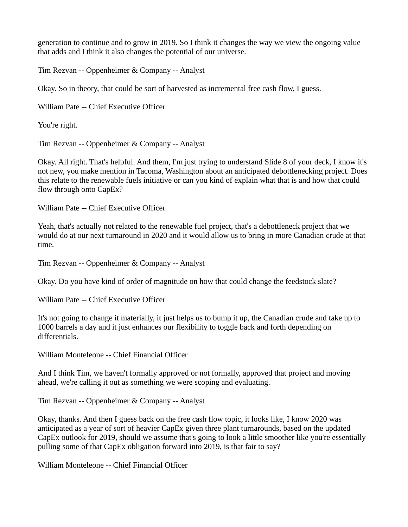generation to continue and to grow in 2019. So I think it changes the way we view the ongoing value that adds and I think it also changes the potential of our universe.

Tim Rezvan -- Oppenheimer & Company -- Analyst

Okay. So in theory, that could be sort of harvested as incremental free cash flow, I guess.

William Pate -- Chief Executive Officer

You're right.

Tim Rezvan -- Oppenheimer & Company -- Analyst

Okay. All right. That's helpful. And them, I'm just trying to understand Slide 8 of your deck, I know it's not new, you make mention in Tacoma, Washington about an anticipated debottlenecking project. Does this relate to the renewable fuels initiative or can you kind of explain what that is and how that could flow through onto CapEx?

William Pate -- Chief Executive Officer

Yeah, that's actually not related to the renewable fuel project, that's a debottleneck project that we would do at our next turnaround in 2020 and it would allow us to bring in more Canadian crude at that time.

Tim Rezvan -- Oppenheimer & Company -- Analyst

Okay. Do you have kind of order of magnitude on how that could change the feedstock slate?

William Pate -- Chief Executive Officer

It's not going to change it materially, it just helps us to bump it up, the Canadian crude and take up to 1000 barrels a day and it just enhances our flexibility to toggle back and forth depending on differentials.

William Monteleone -- Chief Financial Officer

And I think Tim, we haven't formally approved or not formally, approved that project and moving ahead, we're calling it out as something we were scoping and evaluating.

Tim Rezvan -- Oppenheimer & Company -- Analyst

Okay, thanks. And then I guess back on the free cash flow topic, it looks like, I know 2020 was anticipated as a year of sort of heavier CapEx given three plant turnarounds, based on the updated CapEx outlook for 2019, should we assume that's going to look a little smoother like you're essentially pulling some of that CapEx obligation forward into 2019, is that fair to say?

William Monteleone -- Chief Financial Officer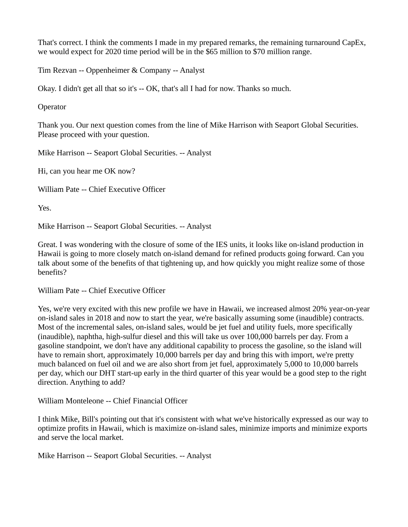That's correct. I think the comments I made in my prepared remarks, the remaining turnaround CapEx, we would expect for 2020 time period will be in the \$65 million to \$70 million range.

Tim Rezvan -- Oppenheimer & Company -- Analyst

Okay. I didn't get all that so it's -- OK, that's all I had for now. Thanks so much.

**Operator** 

Thank you. Our next question comes from the line of Mike Harrison with Seaport Global Securities. Please proceed with your question.

Mike Harrison -- Seaport Global Securities. -- Analyst

Hi, can you hear me OK now?

William Pate -- Chief Executive Officer

Yes.

Mike Harrison -- Seaport Global Securities. -- Analyst

Great. I was wondering with the closure of some of the IES units, it looks like on-island production in Hawaii is going to more closely match on-island demand for refined products going forward. Can you talk about some of the benefits of that tightening up, and how quickly you might realize some of those benefits?

William Pate -- Chief Executive Officer

Yes, we're very excited with this new profile we have in Hawaii, we increased almost 20% year-on-year on-island sales in 2018 and now to start the year, we're basically assuming some (inaudible) contracts. Most of the incremental sales, on-island sales, would be jet fuel and utility fuels, more specifically (inaudible), naphtha, high-sulfur diesel and this will take us over 100,000 barrels per day. From a gasoline standpoint, we don't have any additional capability to process the gasoline, so the island will have to remain short, approximately 10,000 barrels per day and bring this with import, we're pretty much balanced on fuel oil and we are also short from jet fuel, approximately 5,000 to 10,000 barrels per day, which our DHT start-up early in the third quarter of this year would be a good step to the right direction. Anything to add?

William Monteleone -- Chief Financial Officer

I think Mike, Bill's pointing out that it's consistent with what we've historically expressed as our way to optimize profits in Hawaii, which is maximize on-island sales, minimize imports and minimize exports and serve the local market.

Mike Harrison -- Seaport Global Securities. -- Analyst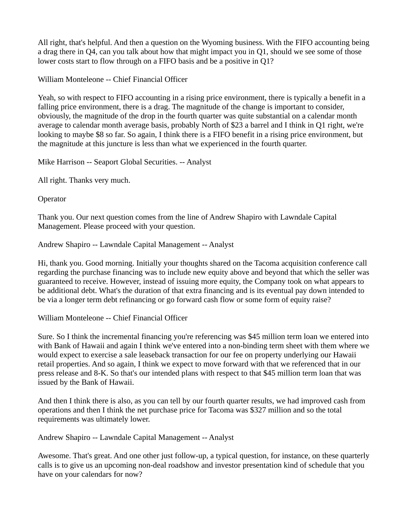All right, that's helpful. And then a question on the Wyoming business. With the FIFO accounting being a drag there in Q4, can you talk about how that might impact you in Q1, should we see some of those lower costs start to flow through on a FIFO basis and be a positive in Q1?

William Monteleone -- Chief Financial Officer

Yeah, so with respect to FIFO accounting in a rising price environment, there is typically a benefit in a falling price environment, there is a drag. The magnitude of the change is important to consider, obviously, the magnitude of the drop in the fourth quarter was quite substantial on a calendar month average to calendar month average basis, probably North of \$23 a barrel and I think in Q1 right, we're looking to maybe \$8 so far. So again, I think there is a FIFO benefit in a rising price environment, but the magnitude at this juncture is less than what we experienced in the fourth quarter.

Mike Harrison -- Seaport Global Securities. -- Analyst

All right. Thanks very much.

**Operator** 

Thank you. Our next question comes from the line of Andrew Shapiro with Lawndale Capital Management. Please proceed with your question.

Andrew Shapiro -- Lawndale Capital Management -- Analyst

Hi, thank you. Good morning. Initially your thoughts shared on the Tacoma acquisition conference call regarding the purchase financing was to include new equity above and beyond that which the seller was guaranteed to receive. However, instead of issuing more equity, the Company took on what appears to be additional debt. What's the duration of that extra financing and is its eventual pay down intended to be via a longer term debt refinancing or go forward cash flow or some form of equity raise?

William Monteleone -- Chief Financial Officer

Sure. So I think the incremental financing you're referencing was \$45 million term loan we entered into with Bank of Hawaii and again I think we've entered into a non-binding term sheet with them where we would expect to exercise a sale leaseback transaction for our fee on property underlying our Hawaii retail properties. And so again, I think we expect to move forward with that we referenced that in our press release and 8-K. So that's our intended plans with respect to that \$45 million term loan that was issued by the Bank of Hawaii.

And then I think there is also, as you can tell by our fourth quarter results, we had improved cash from operations and then I think the net purchase price for Tacoma was \$327 million and so the total requirements was ultimately lower.

Andrew Shapiro -- Lawndale Capital Management -- Analyst

Awesome. That's great. And one other just follow-up, a typical question, for instance, on these quarterly calls is to give us an upcoming non-deal roadshow and investor presentation kind of schedule that you have on your calendars for now?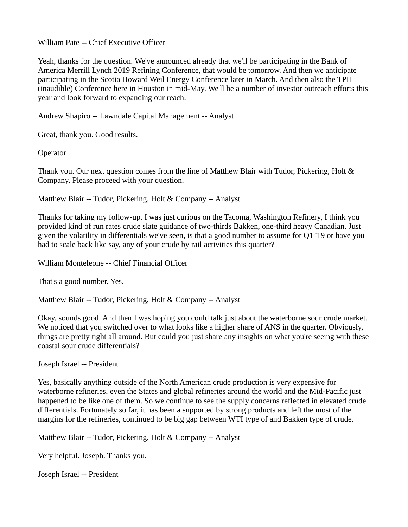William Pate -- Chief Executive Officer

Yeah, thanks for the question. We've announced already that we'll be participating in the Bank of America Merrill Lynch 2019 Refining Conference, that would be tomorrow. And then we anticipate participating in the Scotia Howard Weil Energy Conference later in March. And then also the TPH (inaudible) Conference here in Houston in mid-May. We'll be a number of investor outreach efforts this year and look forward to expanding our reach.

Andrew Shapiro -- Lawndale Capital Management -- Analyst

Great, thank you. Good results.

**Operator** 

Thank you. Our next question comes from the line of Matthew Blair with Tudor, Pickering, Holt & Company. Please proceed with your question.

Matthew Blair -- Tudor, Pickering, Holt & Company -- Analyst

Thanks for taking my follow-up. I was just curious on the Tacoma, Washington Refinery, I think you provided kind of run rates crude slate guidance of two-thirds Bakken, one-third heavy Canadian. Just given the volatility in differentials we've seen, is that a good number to assume for Q1 '19 or have you had to scale back like say, any of your crude by rail activities this quarter?

William Monteleone -- Chief Financial Officer

That's a good number. Yes.

Matthew Blair -- Tudor, Pickering, Holt & Company -- Analyst

Okay, sounds good. And then I was hoping you could talk just about the waterborne sour crude market. We noticed that you switched over to what looks like a higher share of ANS in the quarter. Obviously, things are pretty tight all around. But could you just share any insights on what you're seeing with these coastal sour crude differentials?

Joseph Israel -- President

Yes, basically anything outside of the North American crude production is very expensive for waterborne refineries, even the States and global refineries around the world and the Mid-Pacific just happened to be like one of them. So we continue to see the supply concerns reflected in elevated crude differentials. Fortunately so far, it has been a supported by strong products and left the most of the margins for the refineries, continued to be big gap between WTI type of and Bakken type of crude.

Matthew Blair -- Tudor, Pickering, Holt & Company -- Analyst

Very helpful. Joseph. Thanks you.

Joseph Israel -- President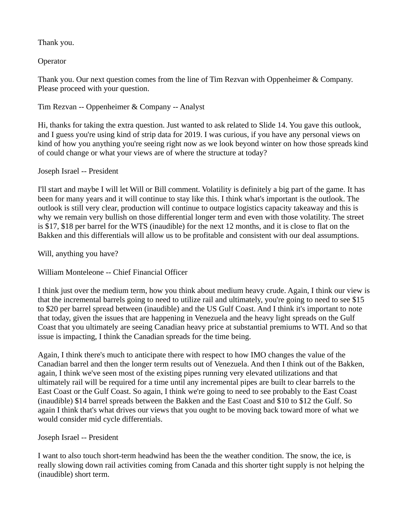Thank you.

**Operator** 

Thank you. Our next question comes from the line of Tim Rezvan with Oppenheimer & Company. Please proceed with your question.

Tim Rezvan -- Oppenheimer & Company -- Analyst

Hi, thanks for taking the extra question. Just wanted to ask related to Slide 14. You gave this outlook, and I guess you're using kind of strip data for 2019. I was curious, if you have any personal views on kind of how you anything you're seeing right now as we look beyond winter on how those spreads kind of could change or what your views are of where the structure at today?

## Joseph Israel -- President

I'll start and maybe I will let Will or Bill comment. Volatility is definitely a big part of the game. It has been for many years and it will continue to stay like this. I think what's important is the outlook. The outlook is still very clear, production will continue to outpace logistics capacity takeaway and this is why we remain very bullish on those differential longer term and even with those volatility. The street is \$17, \$18 per barrel for the WTS (inaudible) for the next 12 months, and it is close to flat on the Bakken and this differentials will allow us to be profitable and consistent with our deal assumptions.

Will, anything you have?

William Monteleone -- Chief Financial Officer

I think just over the medium term, how you think about medium heavy crude. Again, I think our view is that the incremental barrels going to need to utilize rail and ultimately, you're going to need to see \$15 to \$20 per barrel spread between (inaudible) and the US Gulf Coast. And I think it's important to note that today, given the issues that are happening in Venezuela and the heavy light spreads on the Gulf Coast that you ultimately are seeing Canadian heavy price at substantial premiums to WTI. And so that issue is impacting, I think the Canadian spreads for the time being.

Again, I think there's much to anticipate there with respect to how IMO changes the value of the Canadian barrel and then the longer term results out of Venezuela. And then I think out of the Bakken, again, I think we've seen most of the existing pipes running very elevated utilizations and that ultimately rail will be required for a time until any incremental pipes are built to clear barrels to the East Coast or the Gulf Coast. So again, I think we're going to need to see probably to the East Coast (inaudible) \$14 barrel spreads between the Bakken and the East Coast and \$10 to \$12 the Gulf. So again I think that's what drives our views that you ought to be moving back toward more of what we would consider mid cycle differentials.

## Joseph Israel -- President

I want to also touch short-term headwind has been the the weather condition. The snow, the ice, is really slowing down rail activities coming from Canada and this shorter tight supply is not helping the (inaudible) short term.